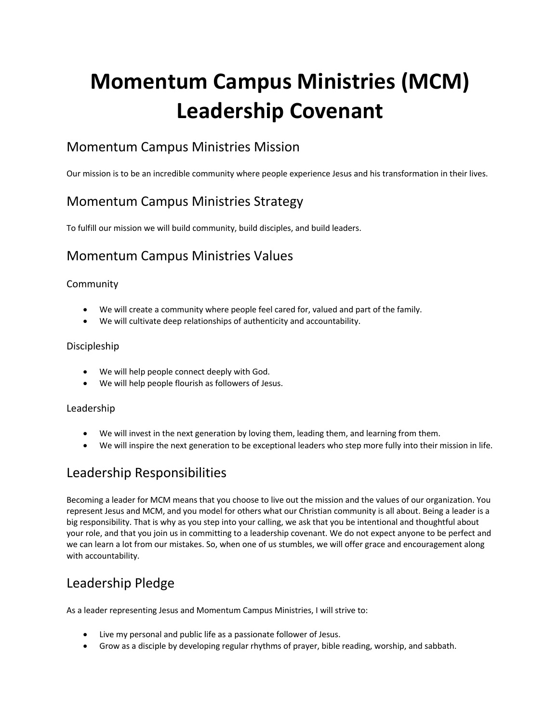# **Momentum Campus Ministries (MCM) Leadership Covenant**

## Momentum Campus Ministries Mission

Our mission is to be an incredible community where people experience Jesus and his transformation in their lives.

## Momentum Campus Ministries Strategy

To fulfill our mission we will build community, build disciples, and build leaders.

## Momentum Campus Ministries Values

### Community

- We will create a community where people feel cared for, valued and part of the family.
- We will cultivate deep relationships of authenticity and accountability.

#### Discipleship

- We will help people connect deeply with God.
- We will help people flourish as followers of Jesus.

#### Leadership

- We will invest in the next generation by loving them, leading them, and learning from them.
- We will inspire the next generation to be exceptional leaders who step more fully into their mission in life.

## Leadership Responsibilities

Becoming a leader for MCM means that you choose to live out the mission and the values of our organization. You represent Jesus and MCM, and you model for others what our Christian community is all about. Being a leader is a big responsibility. That is why as you step into your calling, we ask that you be intentional and thoughtful about your role, and that you join us in committing to a leadership covenant. We do not expect anyone to be perfect and we can learn a lot from our mistakes. So, when one of us stumbles, we will offer grace and encouragement along with accountability.

## Leadership Pledge

As a leader representing Jesus and Momentum Campus Ministries, I will strive to:

- Live my personal and public life as a passionate follower of Jesus.
- Grow as a disciple by developing regular rhythms of prayer, bible reading, worship, and sabbath.